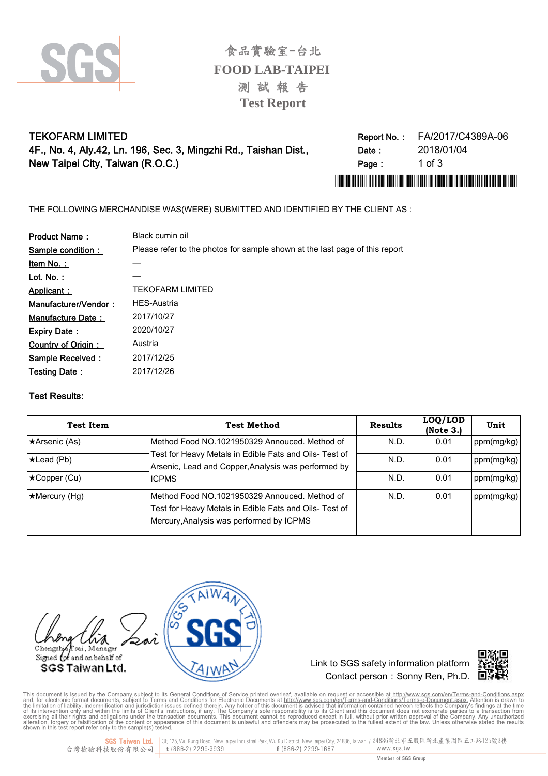

**FOOD LAB-TAIPEI Test Report** 測 試 報 告 食品實驗室-台北

## **TEKOFARM LIMITED** 4F., No. 4, Aly .42, Ln. 196, Sec. 3, Mingzhi Rd., Taishan Dist., New Taipei City, Taiwan (R.O.C.)

| Report No.: | FA/2017/C4389A-06 |
|-------------|-------------------|
| Date :      | 2018/01/04        |
| Page:       | 1 of 3            |
|             |                   |

THE FOLLOWING MERCHANDISE WAS(WERE) SUBMITTED AND IDENTIFIED BY THE CLIENT AS :

| <b>Product Name:</b> | Black cumin oil                                                             |
|----------------------|-----------------------------------------------------------------------------|
| Sample condition:    | Please refer to the photos for sample shown at the last page of this report |
| Item No.:            |                                                                             |
| Lot. No. $:$         |                                                                             |
| Applicant:           | TFKOFARM LIMITFD                                                            |
| Manufacturer/Vendor: | <b>HES-Austria</b>                                                          |
| Manufacture Date:    | 2017/10/27                                                                  |
| <b>Expiry Date:</b>  | 2020/10/27                                                                  |
| Country of Origin:   | Austria                                                                     |
| Sample Received:     | 2017/12/25                                                                  |
| <b>Testing Date:</b> | 2017/12/26                                                                  |

#### Test Results:

| <b>Test Item</b>     | <b>Test Method</b>                                                                                                                                  | <b>Results</b> | LOQ/LOD<br>(Note 3.) | Unit       |
|----------------------|-----------------------------------------------------------------------------------------------------------------------------------------------------|----------------|----------------------|------------|
| *Arsenic (As)        | Method Food NO.1021950329 Annouced. Method of                                                                                                       | N.D.           | 0.01                 | ppm(mg/kg) |
| $\star$ Lead (Pb)    | Test for Heavy Metals in Edible Fats and Oils- Test of<br>Arsenic, Lead and Copper, Analysis was performed by                                       | N.D.           | 0.01                 | ppm(mg/kg) |
| ★Copper (Cu)         | <b>ICPMS</b>                                                                                                                                        | N.D.           | 0.01                 | ppm(mg/kg) |
| $\star$ Mercury (Hg) | Method Food NO.1021950329 Annouced. Method of<br>Test for Heavy Metals in Edible Fats and Oils- Test of<br>Mercury, Analysis was performed by ICPMS | N.D.           | 0.01                 | ppm(mg/kg) |



Link to SGS safety information platform Contact person : Sonny Ren, Ph.D.  $\Box$ 



This document is issued by the Company subject to its General Conditions of Service printed overleaf, available on request or accessible at http://www.sgs.com/en/Terms-and-Conditions.aspx. Attention is drawn to and, for el

3F, 125, Wu Kung Road, New Taipei Industrial Park, Wu Ku District, New Taipei City, 24886, Taiwan / 24886新北市五股區新北產業園區五工路125號3樓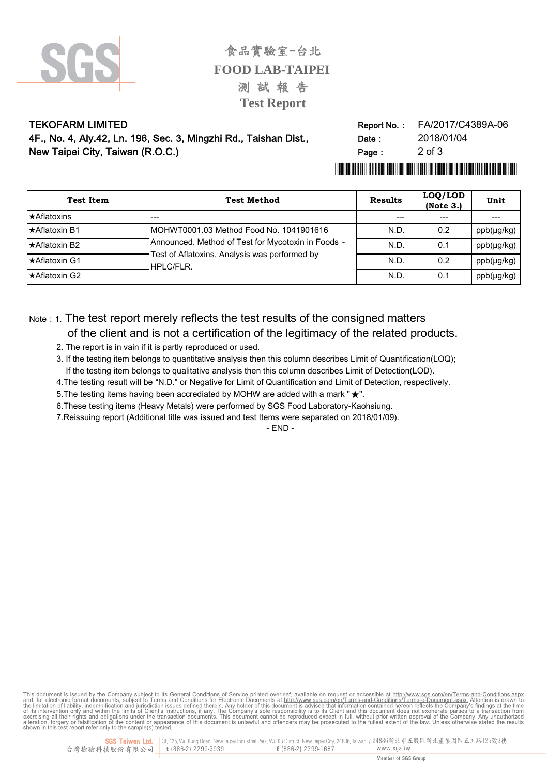

食品實驗室-台北 **FOOD LAB-TAIPEI** 測試報告 **Test Report** 

#### **TEKOFARM LIMITED** 4F., No. 4, Aly.42, Ln. 196, Sec. 3, Mingzhi Rd., Taishan Dist., New Taipei City, Taiwan (R.O.C.)

| Report No.: | FA/2017/C4389A-06 |
|-------------|-------------------|
| Date :      | 2018/01/04        |
| Page:       | $2 \text{ of } 3$ |

# 

| <b>Test Item</b>     | <b>Test Method</b>                                                                                                                                           | <b>Results</b> | LOQ/LOD<br>(Note 3.) | Unit            |
|----------------------|--------------------------------------------------------------------------------------------------------------------------------------------------------------|----------------|----------------------|-----------------|
| <b>★Aflatoxins</b>   |                                                                                                                                                              | $---$          |                      |                 |
| ★Aflatoxin B1        | IMOHWT0001.03 Method Food No. 1041901616<br>Announced. Method of Test for Mycotoxin in Foods -<br>Test of Aflatoxins. Analysis was performed by<br>HPLC/FLR. | N.D.           | 0.2                  | ppb(µg/kg)      |
| <b>★Aflatoxin B2</b> |                                                                                                                                                              | N.D.           | 0.1                  | $ppb(\mu g/kg)$ |
| <b>★Aflatoxin G1</b> |                                                                                                                                                              | N.D.           | 0.2                  | $ppb(\mu g/kg)$ |
| <b>★Aflatoxin G2</b> |                                                                                                                                                              | N.D.           | 0.1                  | $ppb(\mu g/kg)$ |

# Note : 1. The test report merely reflects the test results of the consigned matters of the client and is not a certification of the legitimacy of the related products.

- 2. The report is in vain if it is partly reproduced or used.
- 3. If the testing item belongs to quantitative analysis then this column describes Limit of Quantification(LOQ); If the testing item belongs to qualitative analysis then this column describes Limit of Detection(LOD).
- 4. The testing result will be "N.D." or Negative for Limit of Quantification and Limit of Detection, respectively.
- 5. The testing items having been accrediated by MOHW are added with a mark " $\star$ ".
- 6. These testing items (Heavy Metals) were performed by SGS Food Laboratory-Kaohsiung.
- 7. Reissuing report (Additional title was issued and test Items were separated on 2018/01/09).

 $-$  END  $-$ 

This document is issued by the Company subject to its General Conditions of Service printed overleaf, available on request or accessible at http://www.sgs.com/en/Terms-and-Conditions.aspx. Attention is drawn to and, for el